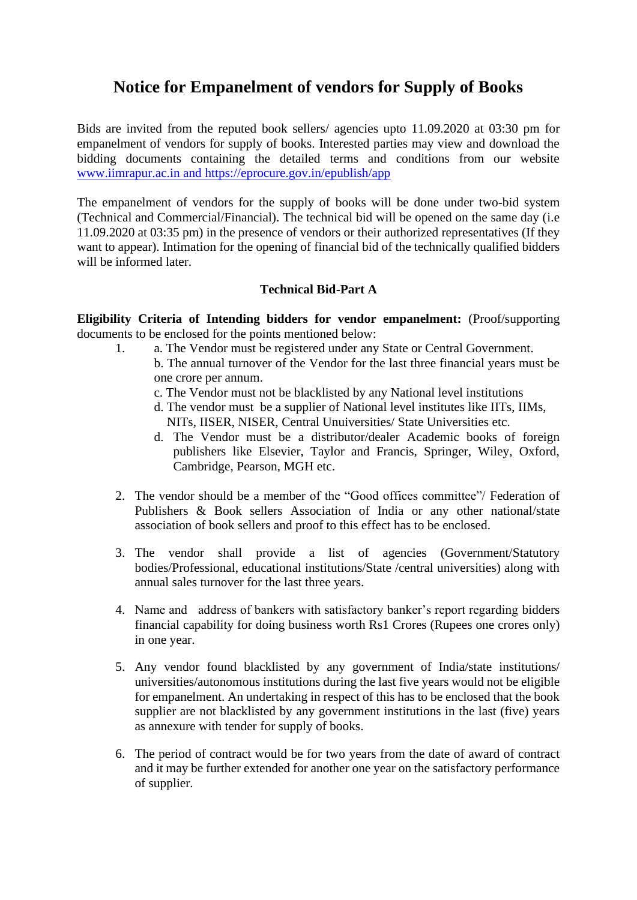# **Notice for Empanelment of vendors for Supply of Books**

Bids are invited from the reputed book sellers/ agencies upto 11.09.2020 at 03:30 pm for empanelment of vendors for supply of books. Interested parties may view and download the bidding documents containing the detailed terms and conditions from our website [www.iimrapur.ac.in](http://www.iimrapur.ac.in/) and https://eprocure.gov.in/epublish/app

The empanelment of vendors for the supply of books will be done under two-bid system (Technical and Commercial/Financial). The technical bid will be opened on the same day (i.e 11.09.2020 at 03:35 pm) in the presence of vendors or their authorized representatives (If they want to appear). Intimation for the opening of financial bid of the technically qualified bidders will be informed later.

#### **Technical Bid-Part A**

**Eligibility Criteria of Intending bidders for vendor empanelment:** (Proof/supporting documents to be enclosed for the points mentioned below:

- 1. a. The Vendor must be registered under any State or Central Government. b. The annual turnover of the Vendor for the last three financial years must be
	- one crore per annum.
	- c. The Vendor must not be blacklisted by any National level institutions
	- d. The vendor must be a supplier of National level institutes like IITs, IIMs, NITs, IISER, NISER, Central Unuiversities/ State Universities etc.
	- d. The Vendor must be a distributor/dealer Academic books of foreign publishers like Elsevier, Taylor and Francis, Springer, Wiley, Oxford, Cambridge, Pearson, MGH etc.
- 2. The vendor should be a member of the "Good offices committee"/ Federation of Publishers & Book sellers Association of India or any other national/state association of book sellers and proof to this effect has to be enclosed.
- 3. The vendor shall provide a list of agencies (Government/Statutory bodies/Professional, educational institutions/State /central universities) along with annual sales turnover for the last three years.
- 4. Name and address of bankers with satisfactory banker's report regarding bidders financial capability for doing business worth Rs1 Crores (Rupees one crores only) in one year.
- 5. Any vendor found blacklisted by any government of India/state institutions/ universities/autonomous institutions during the last five years would not be eligible for empanelment. An undertaking in respect of this has to be enclosed that the book supplier are not blacklisted by any government institutions in the last (five) years as annexure with tender for supply of books.
- 6. The period of contract would be for two years from the date of award of contract and it may be further extended for another one year on the satisfactory performance of supplier.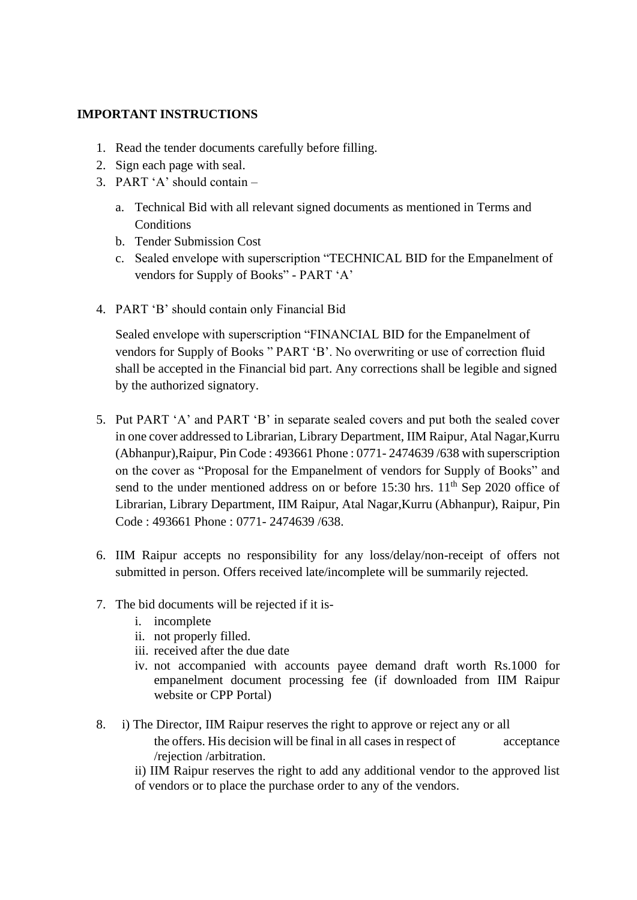#### **IMPORTANT INSTRUCTIONS**

- 1. Read the tender documents carefully before filling.
- 2. Sign each page with seal.
- 3. PART 'A' should contain
	- a. Technical Bid with all relevant signed documents as mentioned in Terms and **Conditions**
	- b. Tender Submission Cost
	- c. Sealed envelope with superscription "TECHNICAL BID for the Empanelment of vendors for Supply of Books" - PART 'A'
- 4. PART 'B' should contain only Financial Bid

Sealed envelope with superscription "FINANCIAL BID for the Empanelment of vendors for Supply of Books " PART 'B'. No overwriting or use of correction fluid shall be accepted in the Financial bid part. Any corrections shall be legible and signed by the authorized signatory.

- 5. Put PART 'A' and PART 'B' in separate sealed covers and put both the sealed cover in one cover addressed to Librarian, Library Department, IIM Raipur, Atal Nagar,Kurru (Abhanpur),Raipur, Pin Code : 493661 Phone : 0771- 2474639 /638 with superscription on the cover as "Proposal for the Empanelment of vendors for Supply of Books" and send to the under mentioned address on or before  $15:30$  hrs.  $11<sup>th</sup>$  Sep 2020 office of Librarian, Library Department, IIM Raipur, Atal Nagar,Kurru (Abhanpur), Raipur, Pin Code : 493661 Phone : 0771- 2474639 /638.
- 6. IIM Raipur accepts no responsibility for any loss/delay/non-receipt of offers not submitted in person. Offers received late/incomplete will be summarily rejected.
- 7. The bid documents will be rejected if it is
	- i. incomplete
	- ii. not properly filled.
	- iii. received after the due date
	- iv. not accompanied with accounts payee demand draft worth Rs.1000 for empanelment document processing fee (if downloaded from IIM Raipur website or CPP Portal)
- 8. i) The Director, IIM Raipur reserves the right to approve or reject any or all the offers. His decision will be final in all cases in respect of acceptance /rejection /arbitration.
	- ii) IIM Raipur reserves the right to add any additional vendor to the approved list of vendors or to place the purchase order to any of the vendors.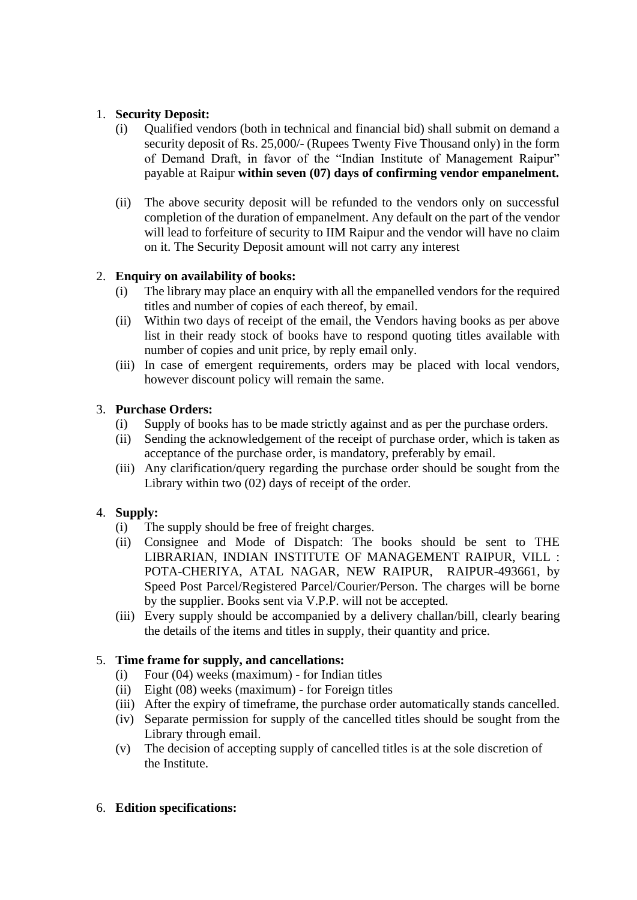#### 1. **Security Deposit:**

- (i) Qualified vendors (both in technical and financial bid) shall submit on demand a security deposit of Rs. 25,000/- (Rupees Twenty Five Thousand only) in the form of Demand Draft, in favor of the "Indian Institute of Management Raipur" payable at Raipur **within seven (07) days of confirming vendor empanelment.**
- (ii) The above security deposit will be refunded to the vendors only on successful completion of the duration of empanelment. Any default on the part of the vendor will lead to forfeiture of security to IIM Raipur and the vendor will have no claim on it. The Security Deposit amount will not carry any interest

#### 2. **Enquiry on availability of books:**

- (i) The library may place an enquiry with all the empanelled vendors for the required titles and number of copies of each thereof, by email.
- (ii) Within two days of receipt of the email, the Vendors having books as per above list in their ready stock of books have to respond quoting titles available with number of copies and unit price, by reply email only.
- (iii) In case of emergent requirements, orders may be placed with local vendors, however discount policy will remain the same.

### 3. **Purchase Orders:**

- (i) Supply of books has to be made strictly against and as per the purchase orders.
- (ii) Sending the acknowledgement of the receipt of purchase order, which is taken as acceptance of the purchase order, is mandatory, preferably by email.
- (iii) Any clarification/query regarding the purchase order should be sought from the Library within two (02) days of receipt of the order.

# 4. **Supply:**

- (i) The supply should be free of freight charges.
- (ii) Consignee and Mode of Dispatch: The books should be sent to THE LIBRARIAN, INDIAN INSTITUTE OF MANAGEMENT RAIPUR, VILL : POTA-CHERIYA, ATAL NAGAR, NEW RAIPUR, RAIPUR-493661, by Speed Post Parcel/Registered Parcel/Courier/Person. The charges will be borne by the supplier. Books sent via V.P.P. will not be accepted.
- (iii) Every supply should be accompanied by a delivery challan/bill, clearly bearing the details of the items and titles in supply, their quantity and price.

#### 5. **Time frame for supply, and cancellations:**

- (i) Four (04) weeks (maximum) for Indian titles
- (ii) Eight (08) weeks (maximum) for Foreign titles
- (iii) After the expiry of timeframe, the purchase order automatically stands cancelled.
- (iv) Separate permission for supply of the cancelled titles should be sought from the Library through email.
- (v) The decision of accepting supply of cancelled titles is at the sole discretion of the Institute.

#### 6. **Edition specifications:**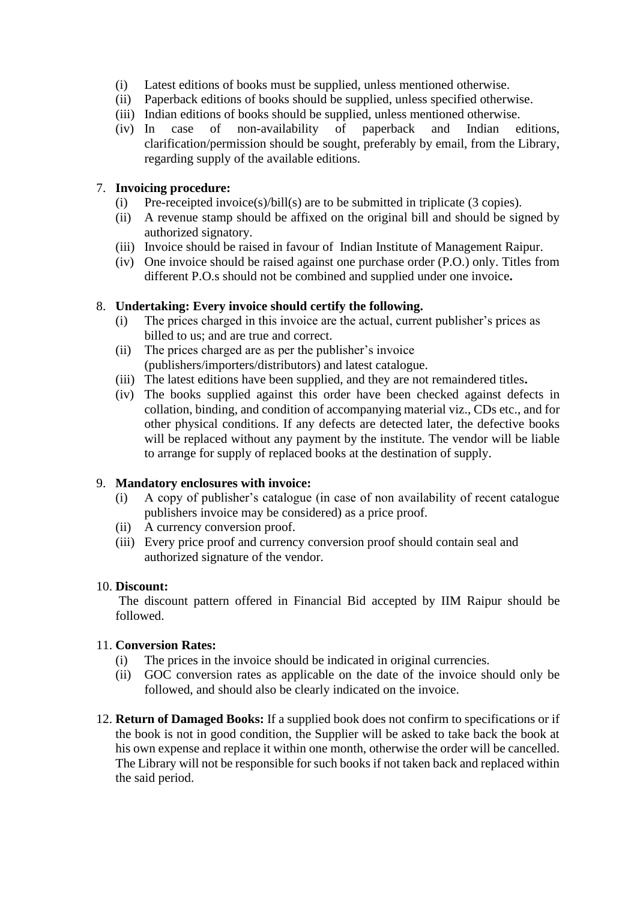- (i) Latest editions of books must be supplied, unless mentioned otherwise.
- (ii) Paperback editions of books should be supplied, unless specified otherwise.
- (iii) Indian editions of books should be supplied, unless mentioned otherwise.
- (iv) In case of non-availability of paperback and Indian editions, clarification/permission should be sought, preferably by email, from the Library, regarding supply of the available editions.

#### 7. **Invoicing procedure:**

- (i) Pre-receipted invoice(s)/bill(s) are to be submitted in triplicate (3 copies).
- (ii) A revenue stamp should be affixed on the original bill and should be signed by authorized signatory.
- (iii) Invoice should be raised in favour of Indian Institute of Management Raipur.
- (iv) One invoice should be raised against one purchase order (P.O.) only. Titles from different P.O.s should not be combined and supplied under one invoice**.**

#### 8. **Undertaking: Every invoice should certify the following.**

- (i) The prices charged in this invoice are the actual, current publisher's prices as billed to us; and are true and correct.
- (ii) The prices charged are as per the publisher's invoice (publishers/importers/distributors) and latest catalogue.
- (iii) The latest editions have been supplied, and they are not remaindered titles**.**
- (iv) The books supplied against this order have been checked against defects in collation, binding, and condition of accompanying material viz., CDs etc., and for other physical conditions. If any defects are detected later, the defective books will be replaced without any payment by the institute. The vendor will be liable to arrange for supply of replaced books at the destination of supply.

#### 9. **Mandatory enclosures with invoice:**

- (i) A copy of publisher's catalogue (in case of non availability of recent catalogue publishers invoice may be considered) as a price proof.
- (ii) A currency conversion proof.
- (iii) Every price proof and currency conversion proof should contain seal and authorized signature of the vendor.

#### 10. **Discount:**

The discount pattern offered in Financial Bid accepted by IIM Raipur should be followed.

#### 11. **Conversion Rates:**

- (i) The prices in the invoice should be indicated in original currencies.
- (ii) GOC conversion rates as applicable on the date of the invoice should only be followed, and should also be clearly indicated on the invoice.
- 12. **Return of Damaged Books:** If a supplied book does not confirm to specifications or if the book is not in good condition, the Supplier will be asked to take back the book at his own expense and replace it within one month, otherwise the order will be cancelled. The Library will not be responsible for such books if not taken back and replaced within the said period.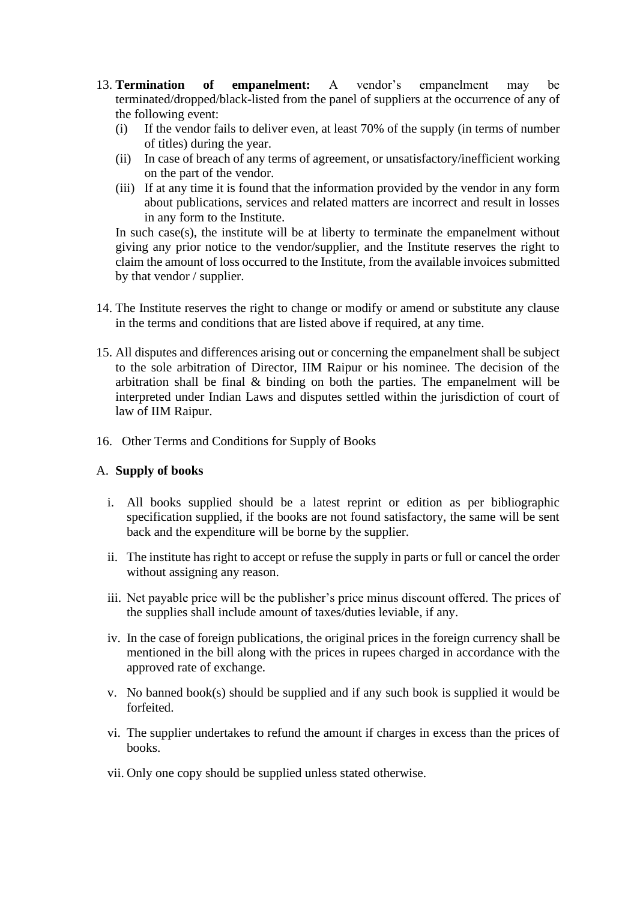- 13. **Termination of empanelment:** A vendor's empanelment may be terminated/dropped/black-listed from the panel of suppliers at the occurrence of any of the following event:
	- (i) If the vendor fails to deliver even, at least 70% of the supply (in terms of number of titles) during the year.
	- (ii) In case of breach of any terms of agreement, or unsatisfactory/inefficient working on the part of the vendor.
	- (iii) If at any time it is found that the information provided by the vendor in any form about publications, services and related matters are incorrect and result in losses in any form to the Institute.

In such case(s), the institute will be at liberty to terminate the empanelment without giving any prior notice to the vendor/supplier, and the Institute reserves the right to claim the amount of loss occurred to the Institute, from the available invoices submitted by that vendor / supplier.

- 14. The Institute reserves the right to change or modify or amend or substitute any clause in the terms and conditions that are listed above if required, at any time.
- 15. All disputes and differences arising out or concerning the empanelment shall be subject to the sole arbitration of Director, IIM Raipur or his nominee. The decision of the arbitration shall be final & binding on both the parties. The empanelment will be interpreted under Indian Laws and disputes settled within the jurisdiction of court of law of IIM Raipur.
- 16. Other Terms and Conditions for Supply of Books

#### A. **Supply of books**

- i. All books supplied should be a latest reprint or edition as per bibliographic specification supplied, if the books are not found satisfactory, the same will be sent back and the expenditure will be borne by the supplier.
- ii. The institute has right to accept or refuse the supply in parts or full or cancel the order without assigning any reason.
- iii. Net payable price will be the publisher's price minus discount offered. The prices of the supplies shall include amount of taxes/duties leviable, if any.
- iv. In the case of foreign publications, the original prices in the foreign currency shall be mentioned in the bill along with the prices in rupees charged in accordance with the approved rate of exchange.
- v. No banned book(s) should be supplied and if any such book is supplied it would be forfeited.
- vi. The supplier undertakes to refund the amount if charges in excess than the prices of books.
- vii. Only one copy should be supplied unless stated otherwise.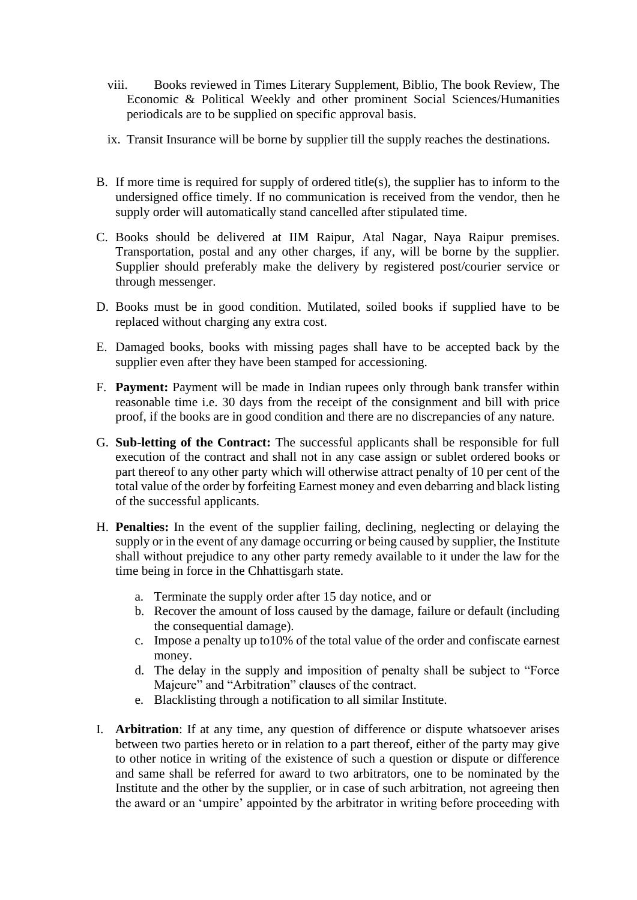- viii. Books reviewed in Times Literary Supplement, Biblio, The book Review, The Economic & Political Weekly and other prominent Social Sciences/Humanities periodicals are to be supplied on specific approval basis.
- ix. Transit Insurance will be borne by supplier till the supply reaches the destinations.
- B. If more time is required for supply of ordered title(s), the supplier has to inform to the undersigned office timely. If no communication is received from the vendor, then he supply order will automatically stand cancelled after stipulated time.
- C. Books should be delivered at IIM Raipur, Atal Nagar, Naya Raipur premises. Transportation, postal and any other charges, if any, will be borne by the supplier. Supplier should preferably make the delivery by registered post/courier service or through messenger.
- D. Books must be in good condition. Mutilated, soiled books if supplied have to be replaced without charging any extra cost.
- E. Damaged books, books with missing pages shall have to be accepted back by the supplier even after they have been stamped for accessioning.
- F. **Payment:** Payment will be made in Indian rupees only through bank transfer within reasonable time i.e. 30 days from the receipt of the consignment and bill with price proof, if the books are in good condition and there are no discrepancies of any nature.
- G. **Sub-letting of the Contract:** The successful applicants shall be responsible for full execution of the contract and shall not in any case assign or sublet ordered books or part thereof to any other party which will otherwise attract penalty of 10 per cent of the total value of the order by forfeiting Earnest money and even debarring and black listing of the successful applicants.
- H. **Penalties:** In the event of the supplier failing, declining, neglecting or delaying the supply or in the event of any damage occurring or being caused by supplier, the Institute shall without prejudice to any other party remedy available to it under the law for the time being in force in the Chhattisgarh state.
	- a. Terminate the supply order after 15 day notice, and or
	- b. Recover the amount of loss caused by the damage, failure or default (including the consequential damage).
	- c. Impose a penalty up to10% of the total value of the order and confiscate earnest money.
	- d. The delay in the supply and imposition of penalty shall be subject to "Force Majeure" and "Arbitration" clauses of the contract.
	- e. Blacklisting through a notification to all similar Institute.
- I. **Arbitration**: If at any time, any question of difference or dispute whatsoever arises between two parties hereto or in relation to a part thereof, either of the party may give to other notice in writing of the existence of such a question or dispute or difference and same shall be referred for award to two arbitrators, one to be nominated by the Institute and the other by the supplier, or in case of such arbitration, not agreeing then the award or an 'umpire' appointed by the arbitrator in writing before proceeding with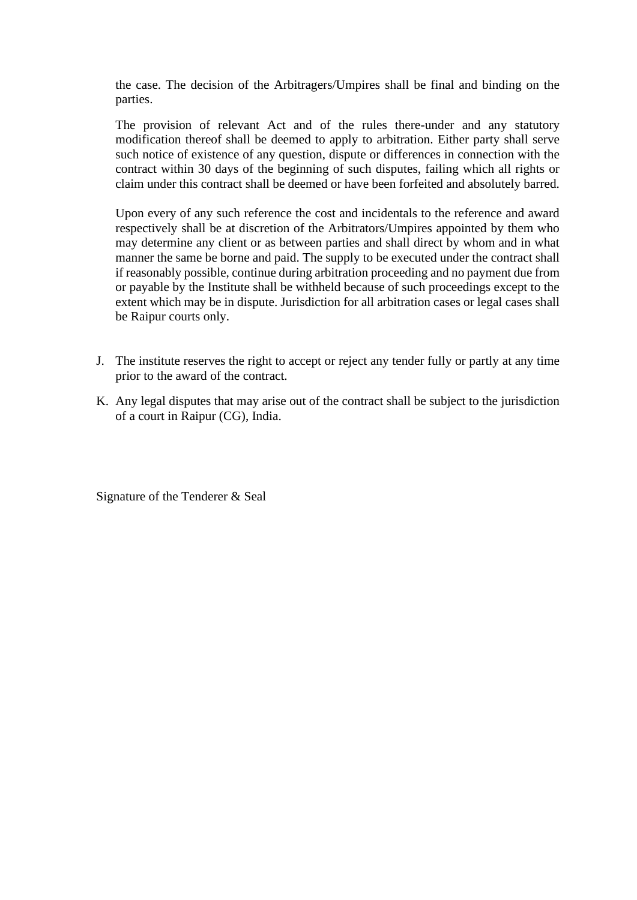the case. The decision of the Arbitragers/Umpires shall be final and binding on the parties.

The provision of relevant Act and of the rules there-under and any statutory modification thereof shall be deemed to apply to arbitration. Either party shall serve such notice of existence of any question, dispute or differences in connection with the contract within 30 days of the beginning of such disputes, failing which all rights or claim under this contract shall be deemed or have been forfeited and absolutely barred.

Upon every of any such reference the cost and incidentals to the reference and award respectively shall be at discretion of the Arbitrators/Umpires appointed by them who may determine any client or as between parties and shall direct by whom and in what manner the same be borne and paid. The supply to be executed under the contract shall if reasonably possible, continue during arbitration proceeding and no payment due from or payable by the Institute shall be withheld because of such proceedings except to the extent which may be in dispute. Jurisdiction for all arbitration cases or legal cases shall be Raipur courts only.

- J. The institute reserves the right to accept or reject any tender fully or partly at any time prior to the award of the contract.
- K. Any legal disputes that may arise out of the contract shall be subject to the jurisdiction of a court in Raipur (CG), India.

Signature of the Tenderer & Seal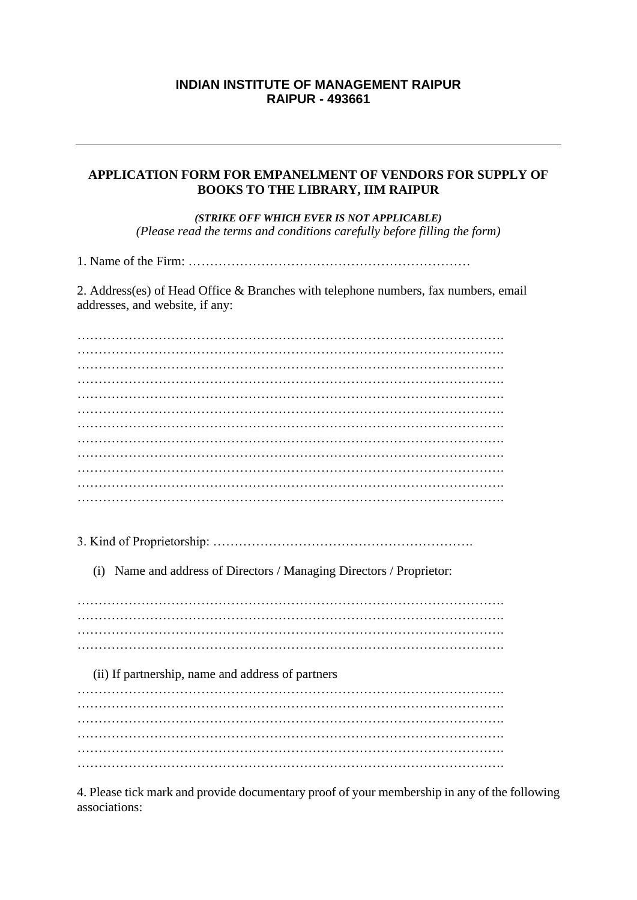#### **INDIAN INSTITUTE OF MANAGEMENT RAIPUR RAIPUR - 493661**

#### **APPLICATION FORM FOR EMPANELMENT OF VENDORS FOR SUPPLY OF BOOKS TO THE LIBRARY, IIM RAIPUR**

*(STRIKE OFF WHICH EVER IS NOT APPLICABLE) (Please read the terms and conditions carefully before filling the form)*

1. Name of the Firm: …………………………………………………………

2. Address(es) of Head Office & Branches with telephone numbers, fax numbers, email addresses, and website, if any:

………………………………………………………………………………………. ………………………………………………………………………………………. ………………………………………………………………………………………. ………………………………………………………………………………………. ………………………………………………………………………………………. ………………………………………………………………………………………. ………………………………………………………………………………………. ………………………………………………………………………………………. ………………………………………………………………………………………. ………………………………………………………………………………………. 3. Kind of Proprietorship: ……………………………………………………. (i) Name and address of Directors / Managing Directors / Proprietor: ………………………………………………………………………………………. ………………………………………………………………………………………. ………………………………………………………………………………………. (ii) If partnership, name and address of partners ………………………………………………………………………………………. ………………………………………………………………………………………. ………………………………………………………………………………………. ………………………………………………………………………………………. ………………………………………………………………………………………. ……………………………………………………………………………………….

4. Please tick mark and provide documentary proof of your membership in any of the following associations: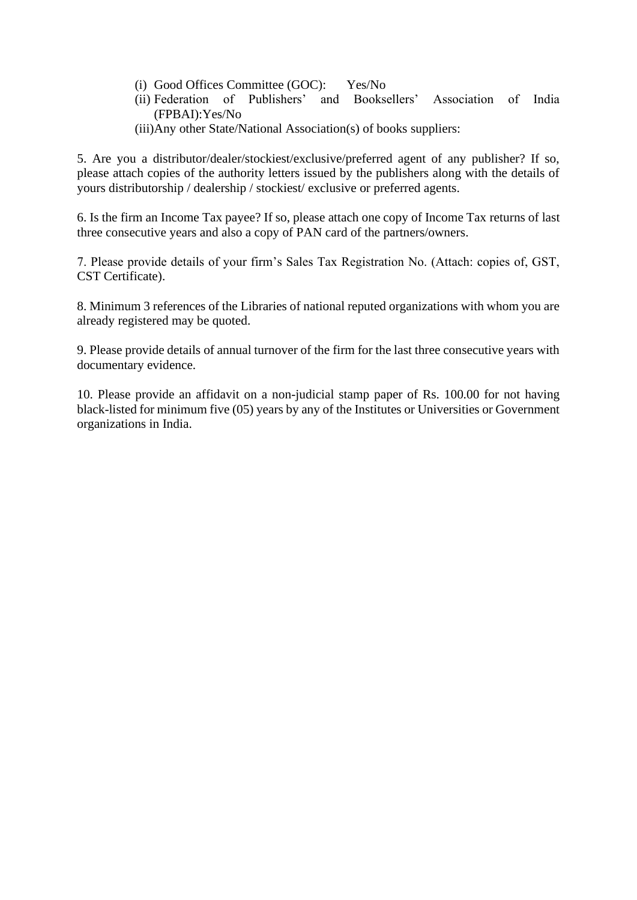- (i) Good Offices Committee (GOC): Yes/No
- (ii) Federation of Publishers' and Booksellers' Association of India (FPBAI):Yes/No
- (iii)Any other State/National Association(s) of books suppliers:

5. Are you a distributor/dealer/stockiest/exclusive/preferred agent of any publisher? If so, please attach copies of the authority letters issued by the publishers along with the details of yours distributorship / dealership / stockiest/ exclusive or preferred agents.

6. Is the firm an Income Tax payee? If so, please attach one copy of Income Tax returns of last three consecutive years and also a copy of PAN card of the partners/owners.

7. Please provide details of your firm's Sales Tax Registration No. (Attach: copies of, GST, CST Certificate).

8. Minimum 3 references of the Libraries of national reputed organizations with whom you are already registered may be quoted.

9. Please provide details of annual turnover of the firm for the last three consecutive years with documentary evidence.

10. Please provide an affidavit on a non-judicial stamp paper of Rs. 100.00 for not having black-listed for minimum five (05) years by any of the Institutes or Universities or Government organizations in India.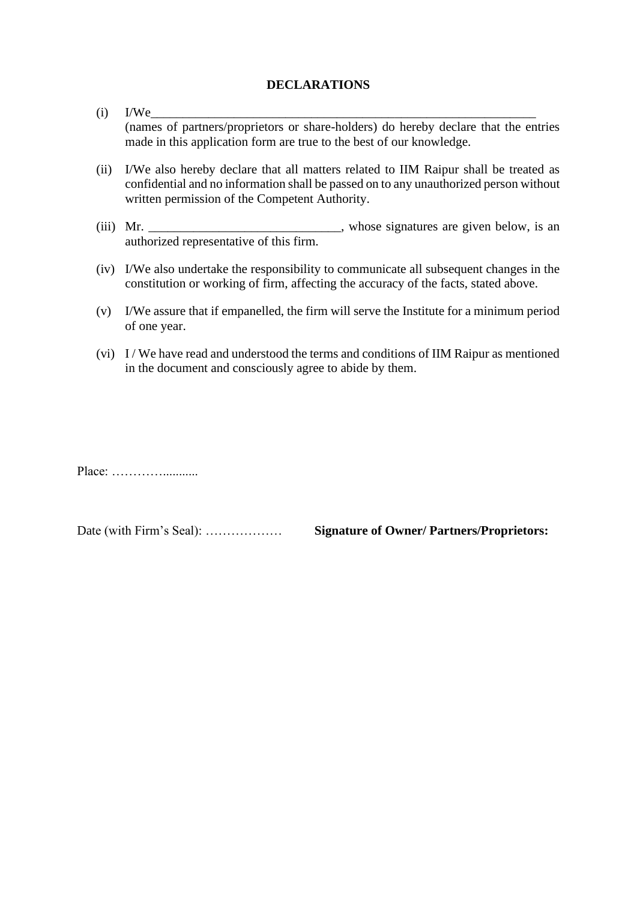#### **DECLARATIONS**

- $(i)$  I/We (names of partners/proprietors or share-holders) do hereby declare that the entries made in this application form are true to the best of our knowledge.
- (ii) I/We also hereby declare that all matters related to IIM Raipur shall be treated as confidential and no information shall be passed on to any unauthorized person without written permission of the Competent Authority.
- (iii) Mr. \_\_\_\_\_\_\_\_\_\_\_\_\_\_\_\_\_\_\_\_\_\_\_\_\_\_, whose signatures are given below, is an authorized representative of this firm.
- (iv) I/We also undertake the responsibility to communicate all subsequent changes in the constitution or working of firm, affecting the accuracy of the facts, stated above.
- (v) I/We assure that if empanelled, the firm will serve the Institute for a minimum period of one year.
- (vi) I / We have read and understood the terms and conditions of IIM Raipur as mentioned in the document and consciously agree to abide by them.

Place: …………...........

Date (with Firm's Seal): ……………… **Signature of Owner/ Partners/Proprietors:**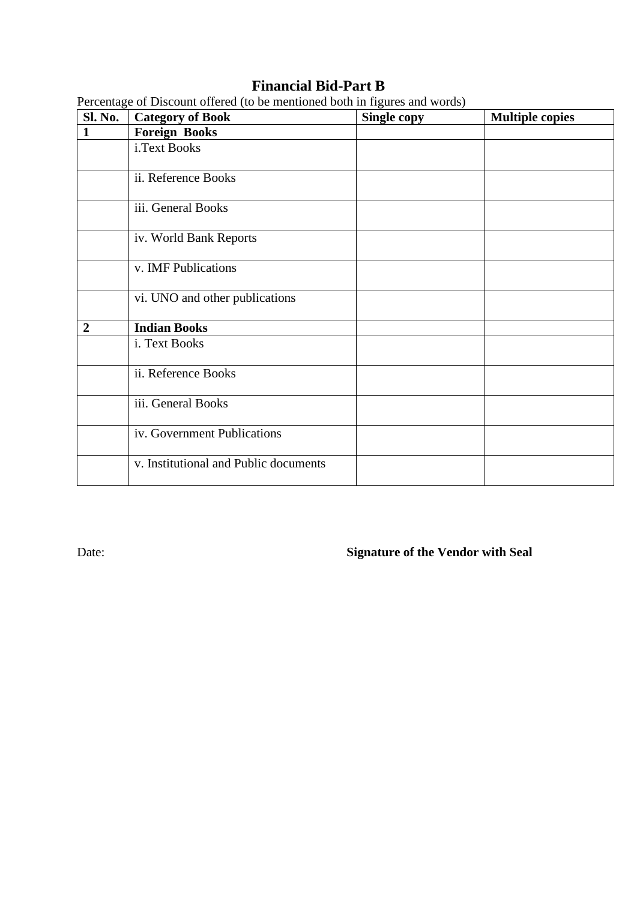# **Financial Bid-Part B**

| <b>Sl. No.</b> | I creditage of Discount offered (to be including boul in figures and words)<br><b>Category of Book</b> | Single copy | <b>Multiple copies</b> |
|----------------|--------------------------------------------------------------------------------------------------------|-------------|------------------------|
| $\mathbf{1}$   | <b>Foreign Books</b>                                                                                   |             |                        |
|                | i.Text Books                                                                                           |             |                        |
|                | ii. Reference Books                                                                                    |             |                        |
|                | iii. General Books                                                                                     |             |                        |
|                | iv. World Bank Reports                                                                                 |             |                        |
|                | v. IMF Publications                                                                                    |             |                        |
|                | vi. UNO and other publications                                                                         |             |                        |
| $\overline{2}$ | <b>Indian Books</b>                                                                                    |             |                        |
|                | i. Text Books                                                                                          |             |                        |
|                | ii. Reference Books                                                                                    |             |                        |
|                | iii. General Books                                                                                     |             |                        |
|                | iv. Government Publications                                                                            |             |                        |
|                | v. Institutional and Public documents                                                                  |             |                        |

Percentage of Discount offered (to be mentioned both in figures and words)

Date: **Signature of the Vendor with Seal**